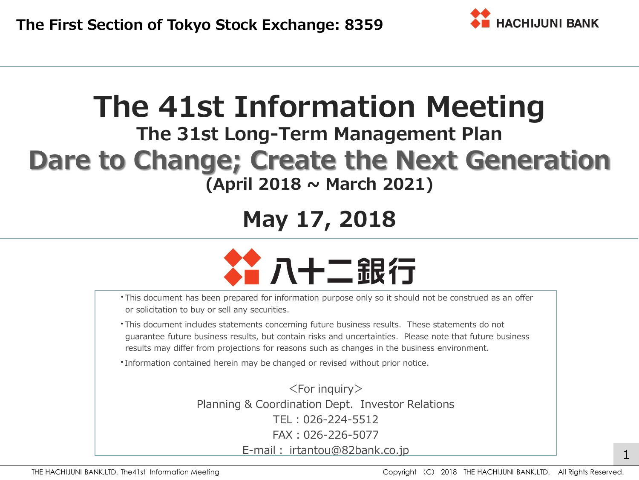

# **The 41st Information Meeting**

## **The 31st Long-Term Management Plan Dare to Change; Create the Next Generation (April 2018 ~ March 2021)**

# **May 17, 2018**



- ・This document has been prepared for information purpose only so it should not be construed as an offer or solicitation to buy or sell any securities.
- ・This document includes statements concerning future business results. These statements do not guarantee future business results, but contain risks and uncertainties. Please note that future business results may differ from projections for reasons such as changes in the business environment.
- ・Information contained herein may be changed or revised without prior notice.

<For inquiry> Planning & Coordination Dept. Investor Relations TEL:026-224-5512 FAX:026-226-5077 E-mail: irtantou@82bank.co.jp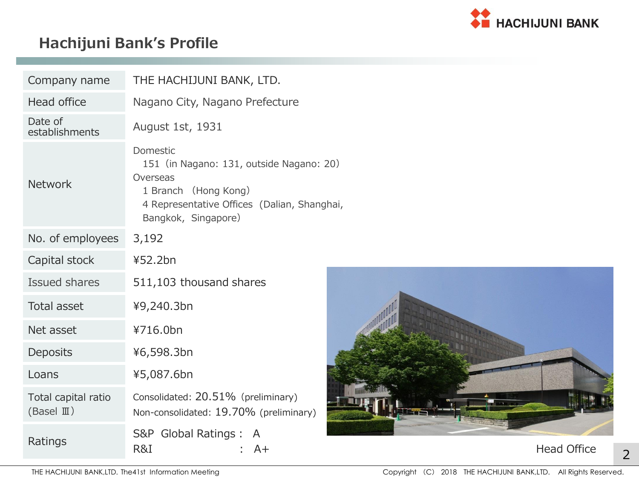

### **Hachijuni Bank's Profile**

| Company name                                 | THE HACHIJUNI BANK, LTD.                                                                                                                                       |  |  |  |  |  |  |  |  |
|----------------------------------------------|----------------------------------------------------------------------------------------------------------------------------------------------------------------|--|--|--|--|--|--|--|--|
| <b>Head office</b>                           | Nagano City, Nagano Prefecture                                                                                                                                 |  |  |  |  |  |  |  |  |
| Date of<br>establishments                    | August 1st, 1931                                                                                                                                               |  |  |  |  |  |  |  |  |
| <b>Network</b>                               | Domestic<br>151 (in Nagano: 131, outside Nagano: 20)<br>Overseas<br>1 Branch (Hong Kong)<br>4 Representative Offices (Dalian, Shanghai,<br>Bangkok, Singapore) |  |  |  |  |  |  |  |  |
| No. of employees                             | 3,192                                                                                                                                                          |  |  |  |  |  |  |  |  |
| Capital stock                                | ¥52.2bn                                                                                                                                                        |  |  |  |  |  |  |  |  |
| <b>Issued shares</b>                         | 511,103 thousand shares                                                                                                                                        |  |  |  |  |  |  |  |  |
| <b>Total asset</b>                           | ¥9,240.3bn                                                                                                                                                     |  |  |  |  |  |  |  |  |
| Net asset                                    | ¥716.0bn                                                                                                                                                       |  |  |  |  |  |  |  |  |
| Deposits                                     | ¥6,598.3bn                                                                                                                                                     |  |  |  |  |  |  |  |  |
| Loans                                        | ¥5,087.6bn                                                                                                                                                     |  |  |  |  |  |  |  |  |
| Total capital ratio<br>(Basel $\mathbb{I}$ ) | Consolidated: 20.51% (preliminary)<br>Non-consolidated: 19.70% (preliminary)                                                                                   |  |  |  |  |  |  |  |  |
| Ratings                                      | S&P Global Ratings :<br>A<br>R&I<br>A+                                                                                                                         |  |  |  |  |  |  |  |  |



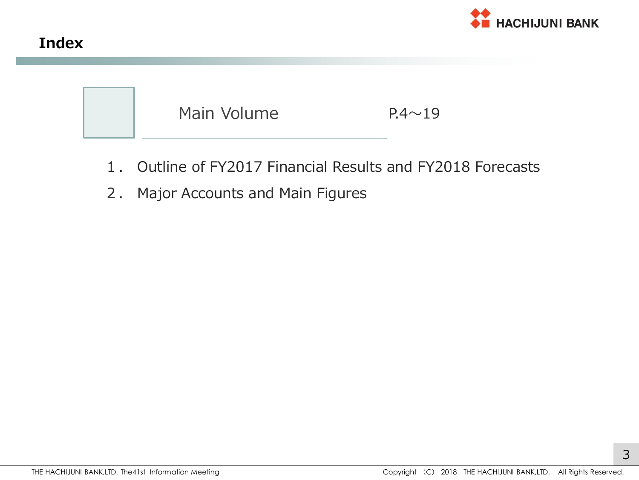



- 1. Outline of FY2017 Financial Results and FY2018 Forecasts
- 2. Major Accounts and Main Figures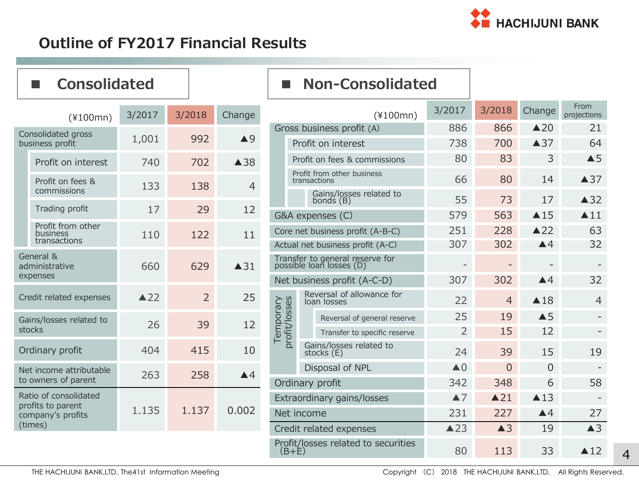

#### **Outline of FY2017 Financial Results**

| <b>Consolidated</b><br><b>College</b>      |                         |                |                            | ш                                                           | <b>Non-Consolidated</b>                    |                |                          |                    |                     |
|--------------------------------------------|-------------------------|----------------|----------------------------|-------------------------------------------------------------|--------------------------------------------|----------------|--------------------------|--------------------|---------------------|
| $(*100mn)$                                 | 3/2017                  | 3/2018         | Change                     |                                                             | $(*100mn)$                                 | 3/2017         | 3/2018                   | Change             | From<br>projections |
| Consolidated gross                         |                         |                |                            |                                                             | Gross business profit (A)                  |                | 866                      | $\triangle 20$     | 21                  |
| business profit                            | 1,001                   | 992            | $\triangle$ 9              |                                                             | Profit on interest                         | 738            | 700                      | $\triangle$ 37     | 64                  |
| Profit on interest                         | 740                     | 702            | $\triangle$ 38             |                                                             | Profit on fees & commissions               | 80             | 83                       | 3                  | $\triangle$ 5       |
| Profit on fees &                           | 133                     | 138            | $\overline{4}$             |                                                             | Profit from other business<br>transactions | 66             | 80                       | 14                 | $\triangle$ 37      |
| commissions                                |                         |                |                            |                                                             | Gains/losses related to<br>bonds $(B)$     | 55             | 73                       | 17                 | $\triangle$ 32      |
| Trading profit                             | 17                      | 29             | 12                         |                                                             | G&A expenses (C)                           | 579            | 563                      | $\triangle$ 15     | $\blacktriangle$ 11 |
| Profit from other<br>business              | 110                     | 122            | 11                         |                                                             | Core net business profit (A-B-C)           |                | 228                      | $\triangle$ 22     | 63                  |
| transactions                               |                         |                |                            | Actual net business profit (A-C)                            |                                            | 307            | 302                      | $\blacktriangle 4$ | 32                  |
| General &<br>administrative                | 660                     | 629            | $\triangle$ 31             | Transfer to general reserve for<br>possible loan losses (D) |                                            |                | $\overline{\phantom{m}}$ |                    |                     |
| expenses                                   |                         |                |                            |                                                             | Net business profit (A-C-D)                | 307            | 302                      | $\blacktriangle$ 4 | 32                  |
| Credit related expenses                    | $\triangle$ 22          | $\overline{2}$ | 25                         | Temporary<br>profit/losses                                  | Reversal of allowance for<br>loan losses   | 22             | $\overline{4}$           | $\triangle$ 18     | 4                   |
| Gains/losses related to                    | 26                      | 39             | 12                         |                                                             | Reversal of general reserve                | 25             | 19                       | $\triangle$ 5      |                     |
| stocks                                     |                         |                |                            |                                                             | Transfer to specific reserve               | $\overline{2}$ | 15                       | 12                 | ÷,                  |
| Ordinary profit                            | 404                     | 415            | 10                         |                                                             | Gains/losses related to<br>stocks (E)      |                | 39                       | 15                 | 19                  |
| Net income attributable                    | 263                     | 258            | $\blacktriangle 4$         |                                                             | Disposal of NPL                            |                | $\overline{0}$           | $\overline{0}$     |                     |
| to owners of parent                        |                         |                |                            | Ordinary profit                                             |                                            | 342            | 348                      | 6                  | 58                  |
| Ratio of consolidated<br>profits to parent | 1.135<br>1.137<br>0.002 |                | Extraordinary gains/losses |                                                             | $\blacktriangle$ 7                         | $\triangle$ 21 | $\triangle$ 13           |                    |                     |
| company's profits                          |                         |                |                            | Net income                                                  | 231                                        | 227            | $\triangle 4$            | 27                 |                     |
| (times)                                    |                         |                |                            | Credit related expenses                                     | $\triangle$ 23                             | $\triangle$ 3  | 19                       | $\triangle$ 3      |                     |

Profit/losses related to securities

 $(B+E)$  80 113 33  $\triangle 12$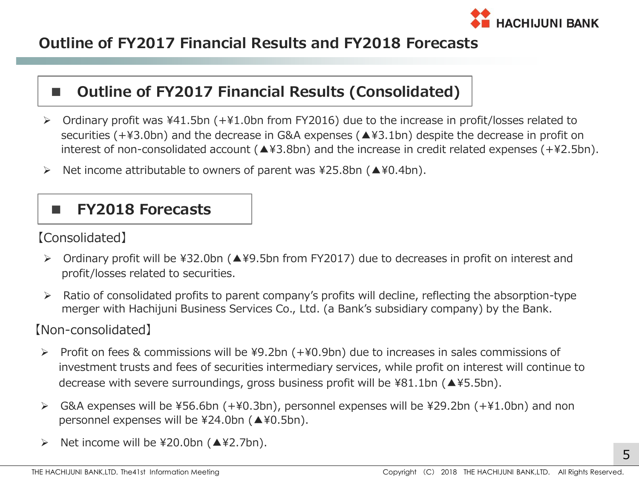

#### **Outline of FY2017 Financial Results and FY2018 Forecasts**

#### ■ **Outline of FY2017 Financial Results (Consolidated)**

- Ordinary profit was ¥41.5bn (+¥1.0bn from FY2016) due to the increase in profit/losses related to securities (+¥3.0bn) and the decrease in G&A expenses (▲¥3.1bn) despite the decrease in profit on interest of non-consolidated account (▲¥3.8bn) and the increase in credit related expenses (+¥2.5bn).
- $\triangleright$  Net income attributable to owners of parent was ¥25.8bn ( $\triangle$ ¥0.4bn).

#### **■ FY2018 Forecasts**

【Consolidated】

- Ordinary profit will be ¥32.0bn (▲¥9.5bn from FY2017) due to decreases in profit on interest and profit/losses related to securities.
- $\triangleright$  Ratio of consolidated profits to parent company's profits will decline, reflecting the absorption-type merger with Hachijuni Business Services Co., Ltd. (a Bank's subsidiary company) by the Bank.

#### 【Non-consolidated】

- Profit on fees & commissions will be ¥9.2bn (+¥0.9bn) due to increases in sales commissions of investment trusts and fees of securities intermediary services, while profit on interest will continue to decrease with severe surroundings, gross business profit will be ¥81.1bn (▲¥5.5bn).
- G&A expenses will be ¥56.6bn (+¥0.3bn), personnel expenses will be ¥29.2bn (+¥1.0bn) and non personnel expenses will be ¥24.0bn (▲¥0.5bn).
- $\triangleright$  Net income will be \text{20.0bn ( $\blacktriangle$ \text{2.7bn).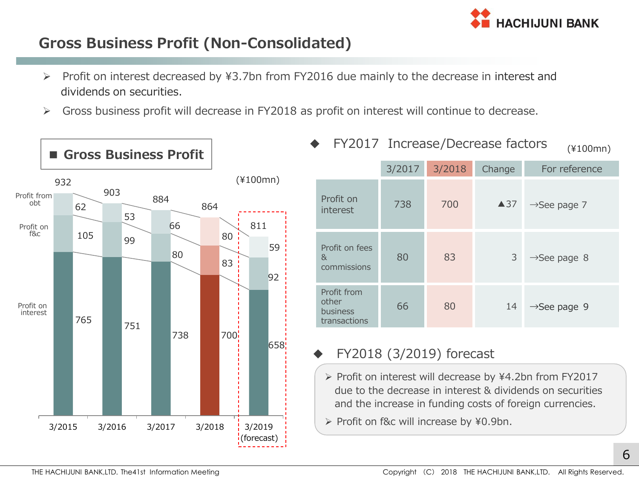

#### **Gross Business Profit (Non-Consolidated)**

- ▶ Profit on interest decreased by ¥3.7bn from FY2016 due mainly to the decrease in interest and dividends on securities.
- Gross business profit will decrease in FY2018 as profit on interest will continue to decrease.



|                                                  |        | T TZUIT THUFCASE/DECIEASE TACLUIS |                | $(*100mn)$               |
|--------------------------------------------------|--------|-----------------------------------|----------------|--------------------------|
|                                                  | 3/2017 | 3/2018                            | Change         | For reference            |
| Profit on<br>interest                            | 738    | 700                               | $\triangle$ 37 | $\rightarrow$ See page 7 |
| Profit on fees<br>8 <sub>k</sub><br>commissions  | 80     | 83                                | 3              | $\rightarrow$ See page 8 |
| Profit from<br>other<br>business<br>transactions | 66     | 80                                | 14             | $\rightarrow$ See page 9 |

 $EV2017$  Increase (Decrease factors

#### FY2018 (3/2019) forecast

- ▶ Profit on interest will decrease by ¥4.2bn from FY2017 due to the decrease in interest & dividends on securities and the increase in funding costs of foreign currencies.
- ▶ Profit on f&c will increase by ¥0.9bn.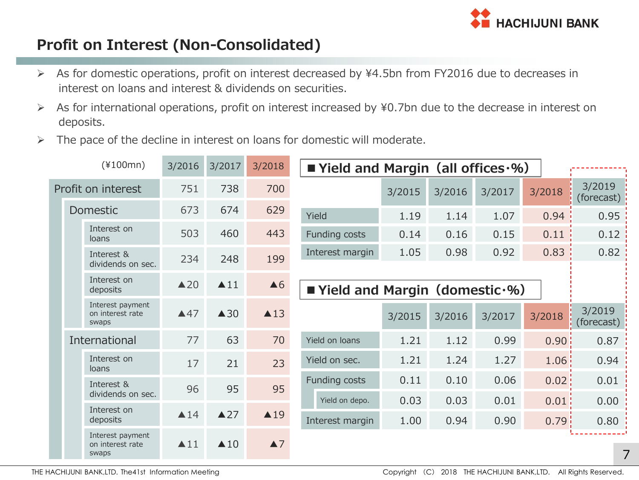

#### **Profit on Interest (Non-Consolidated)**

- As for domestic operations, profit on interest decreased by ¥4.5bn from FY2016 due to decreases in interest on loans and interest & dividends on securities.
- $\triangleright$  As for international operations, profit on interest increased by ¥0.7bn due to the decrease in interest on deposits.
- $\triangleright$  The pace of the decline in interest on loans for domestic will moderate.

|  |  | $(*100mn)$                                    | 3/2016              | 3/2017              | 3/2018             | ■ Yield and Margin (all offices $·$ %) |                                       |        |        |                   |                      |
|--|--|-----------------------------------------------|---------------------|---------------------|--------------------|----------------------------------------|---------------------------------------|--------|--------|-------------------|----------------------|
|  |  | Profit on interest                            | 751                 | 738                 | 700                |                                        | 3/2015                                | 3/2016 | 3/2017 | 3/2018            | 3/2019<br>(forecast) |
|  |  | <b>Domestic</b>                               | 673                 | 674                 | 629                | Yield                                  | 1.19                                  | 1.14   | 1.07   | 0.94              | 0.95                 |
|  |  | Interest on<br>loans                          | 503                 | 460                 | 443                | Funding costs                          | 0.14                                  | 0.16   | 0.15   | 0.11              | 0.12                 |
|  |  | Interest &<br>dividends on sec.               | 234                 | 248                 | 199                | Interest margin                        | 1.05                                  | 0.98   | 0.92   | 0.83              | 0.82                 |
|  |  | Interest on<br>deposits                       | $\triangle 20$      | $\blacktriangle$ 11 | $\triangle 6$      |                                        | <b>Vield and Margin (domestic .%)</b> |        |        |                   |                      |
|  |  | Interest payment<br>on interest rate<br>swaps | $\triangle 47$      | $\triangle$ 30      | $\triangle$ 13     |                                        | 3/2015                                | 3/2016 | 3/2017 | 3/2018            | 3/2019<br>(forecast) |
|  |  | International                                 | 77                  | 63                  | 70                 | Yield on loans                         | 1.21                                  | 1.12   | 0.99   | 0.90 <sup>1</sup> | 0.87                 |
|  |  | Interest on<br>loans                          | 17                  | 21                  | 23                 | Yield on sec.                          | 1.21                                  | 1.24   | 1.27   | 1.06              | 0.94                 |
|  |  | Interest &                                    | 96                  | 95                  | 95                 | Funding costs                          | 0.11                                  | 0.10   | 0.06   | 0.02 <sub>1</sub> | 0.01                 |
|  |  | dividends on sec.                             |                     |                     |                    | Yield on depo.                         | 0.03                                  | 0.03   | 0.01   | 0.01              | 0.00                 |
|  |  | Interest on<br>deposits                       | $\triangle$ 14      | $\triangle$ 27      | $\triangle$ 19     | Interest margin                        | 1.00                                  | 0.94   | 0.90   | 0.79              | 0.80                 |
|  |  | Interest payment<br>on interest rate<br>swaps | $\blacktriangle$ 11 | $\triangle$ 10      | $\blacktriangle$ 7 |                                        |                                       |        |        |                   | 7                    |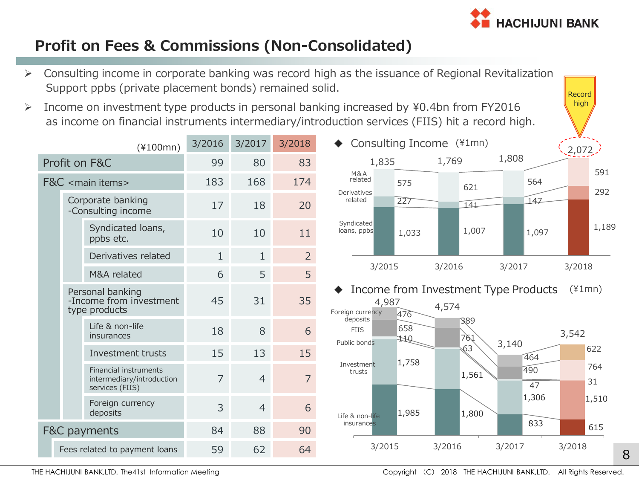

#### **Profit on Fees & Commissions (Non-Consolidated)**

Support ppbs (private placement bonds) remained solid.

Consulting income in corporate banking was record high as the issuance of Regional Revitalization

1,033 1,007 1,097 1,189 227 141 147 292 575 621 <sup>564</sup> 591 1,835 1,769 1,808  $(2,072)$ 3/2015 3/2016 3/2017 3/2018 Income on investment type products in personal banking increased by ¥0.4bn from FY2016 as income on financial instruments intermediary/introduction services (FIIS) hit a record high. 3/2016 3/2017 3/2018 Profit on F&C 89 80 83 F&C <main items> 183 168 174 Corporate banking -Consulting income <sup>17</sup> <sup>18</sup> <sup>20</sup> Syndicated loans,  $\frac{10}{\text{ppbs}}$  etc.  $\frac{10}{10}$  10 11 Derivatives related 1 1 2 M&A related 6 5 5 5 Personal banking -Income from investment type products 45 31 35 Life & non-life  $\frac{2}{18}$  insurances 18 8 6 Investment trusts 15 13 15 Financial instruments intermediary/introduction services (FIIS) 7 4 7 Foreign currency Poleign currency<br>deposits 6 F&C payments 84 88 90 Fees related to payment loans 59 62 64 ◆ Consulting Income (¥1mn) Income from Investment Type Products M&A related Derivatives related Syndicated loans, ppbs Record high 1,985 1,800 833 615 1,758 1,561 1,306 1,510 110 63  $\overline{47}$  31 658 761 490 764 476 389 464 622 4,987 4,574 3,140 3,542 3/2015 3/2016 3/2017 3/2018 Life & non-life insurance Foreign currency deposits Public bonds Investment trusts **FIIS** (¥100mn) (¥1mn)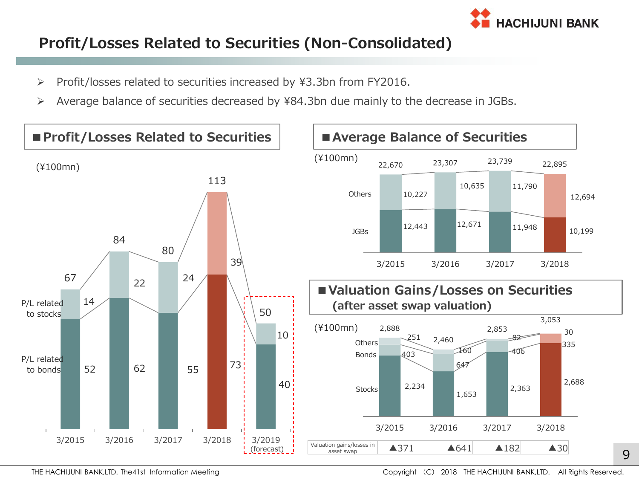

#### **Profit/Losses Related to Securities (Non-Consolidated)**

- $\triangleright$  Profit/losses related to securities increased by ¥3.3bn from FY2016.
- Average balance of securities decreased by ¥84.3bn due mainly to the decrease in JGBs.

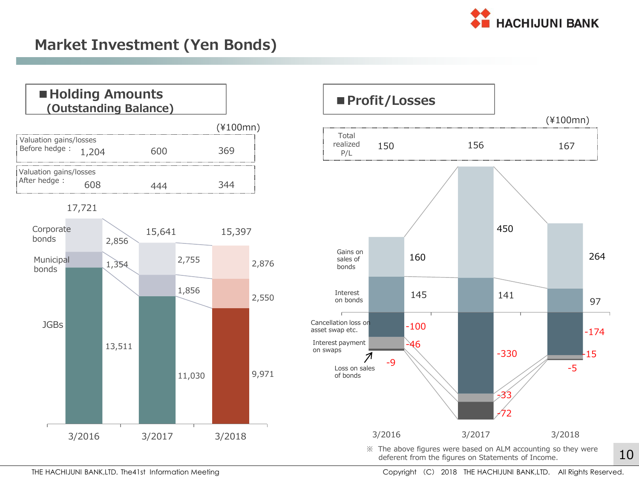

#### **Market Investment (Yen Bonds)**





THE HACHIJUNI BANK,LTD. The41st Information Meeting Communication Copyright (C) 2018 THE HACHIJUNI BANK,LTD. All Rights Reserved.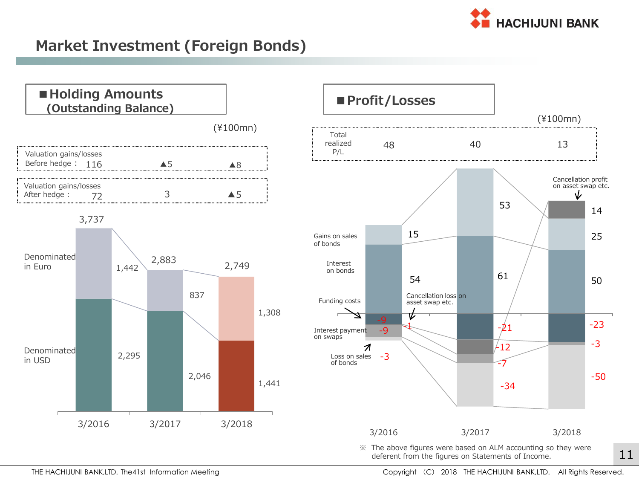

#### **Market Investment (Foreign Bonds)**



※ The above figures were based on ALM accounting so they were deferent from the figures on Statements of Income.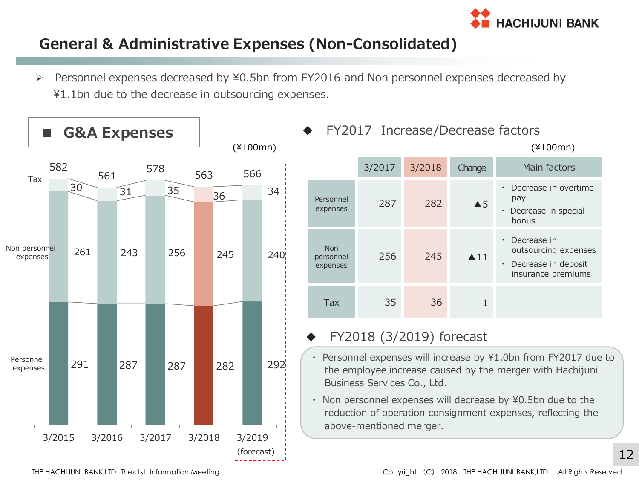

#### **General & Administrative Expenses (Non-Consolidated)**

 Personnel expenses decreased by ¥0.5bn from FY2016 and Non personnel expenses decreased by ¥1.1bn due to the decrease in outsourcing expenses.





#### FY2018 (3/2019) forecast

- Personnel expenses will increase by ¥1.0bn from FY2017 due to the employee increase caused by the merger with Hachijuni Business Services Co., Ltd.
- ・ Non personnel expenses will decrease by ¥0.5bn due to the reduction of operation consignment expenses, reflecting the above-mentioned merger.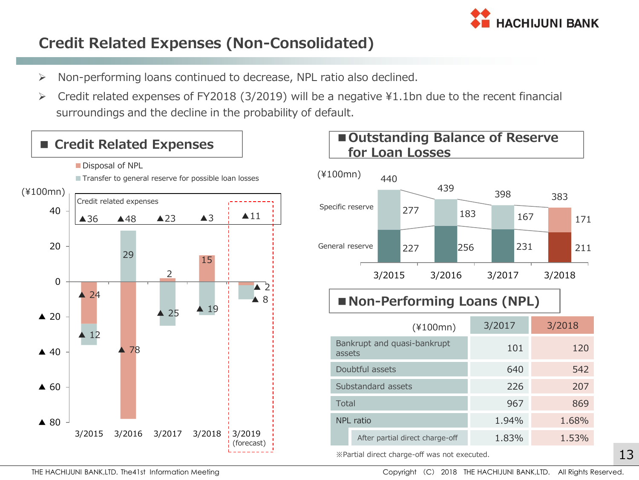

#### **Credit Related Expenses (Non-Consolidated)**

- $\triangleright$  Non-performing loans continued to decrease, NPL ratio also declined.
- Credit related expenses of FY2018 (3/2019) will be a negative ¥1.1bn due to the recent financial surroundings and the decline in the probability of default.

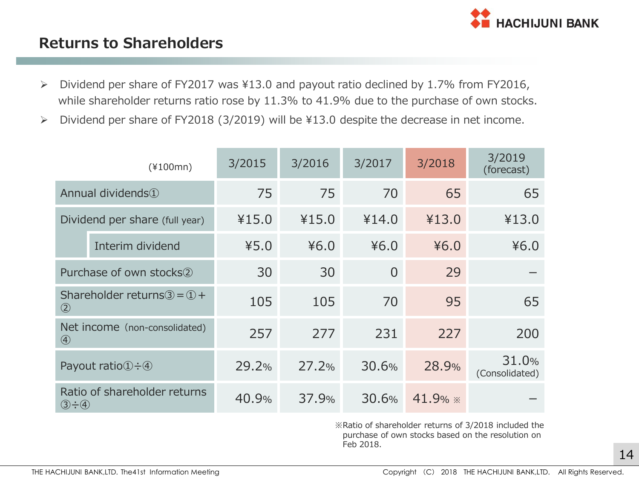

#### **Returns to Shareholders**

- $\triangleright$  Dividend per share of FY2017 was ¥13.0 and payout ratio declined by 1.7% from FY2016, while shareholder returns ratio rose by 11.3% to 41.9% due to the purchase of own stocks.
- Dividend per share of FY2018 (3/2019) will be ¥13.0 despite the decrease in net income.

|                                | $(*100mn)$                                                | 3/2015 | 3/2016 | 3/2017   | 3/2018    | 3/2019<br>(forecast)    |
|--------------------------------|-----------------------------------------------------------|--------|--------|----------|-----------|-------------------------|
| Annual dividends <sup>1</sup>  |                                                           | 75     | 75     | 70       | 65        | 65                      |
| Dividend per share (full year) |                                                           | ¥15.0  | ¥15.0  | ¥14.0    | ¥13.0     | ¥13.0                   |
|                                | Interim dividend                                          | 45.0   | 46.0   | 46.0     | 46.0      | 46.0                    |
|                                | Purchase of own stocks <sup>(2)</sup>                     | 30     | 30     | $\Omega$ | 29        |                         |
| $\circled{2}$                  | Shareholder returns $\textcircled{3} = \textcircled{1}$ + | 105    | 105    | 70       | 95        | 65                      |
| $\bigcirc$                     | Net income (non-consolidated)                             | 257    | 277    | 231      | 227       | 200                     |
|                                | Payout ratio $(1) \div (4)$                               | 29.2%  | 27.2%  | 30.6%    | 28.9%     | 31.0%<br>(Consolidated) |
| $(3 - 4)$                      | Ratio of shareholder returns                              | 40.9%  | 37.9%  | 30.6%    | 41.9% $*$ |                         |

※Ratio of shareholder returns of 3/2018 included the purchase of own stocks based on the resolution on Feb 2018.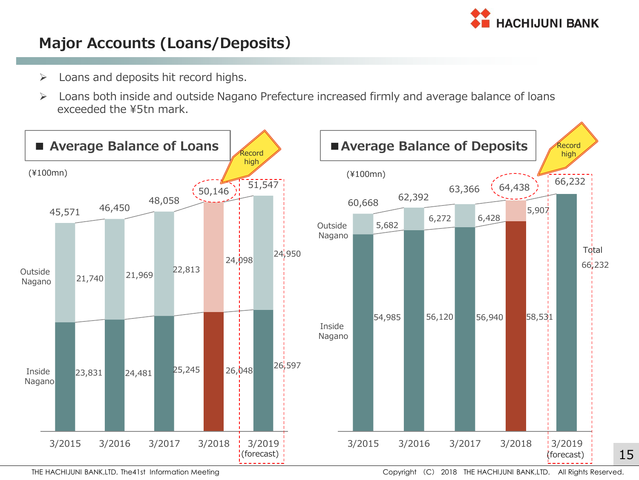

#### **Major Accounts (Loans/Deposits)**

- $\triangleright$  Loans and deposits hit record highs.
- Loans both inside and outside Nagano Prefecture increased firmly and average balance of loans exceeded the ¥5tn mark.

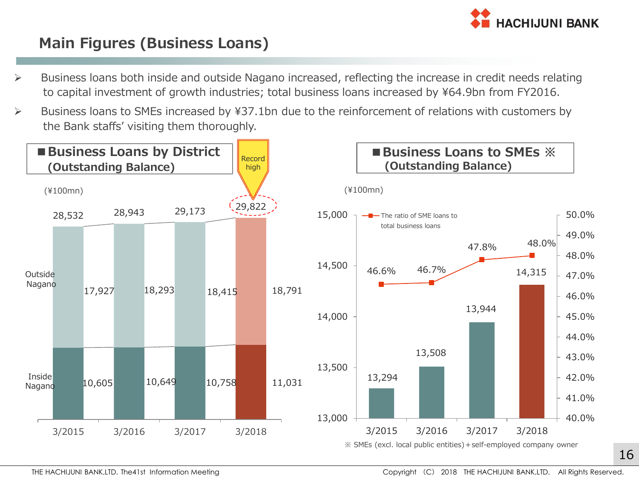

#### **Main Figures (Business Loans)**

- Business loans both inside and outside Nagano increased, reflecting the increase in credit needs relating to capital investment of growth industries; total business loans increased by ¥64.9bn from FY2016.
- Business loans to SMEs increased by ¥37.1bn due to the reinforcement of relations with customers by the Bank staffs' visiting them thoroughly.

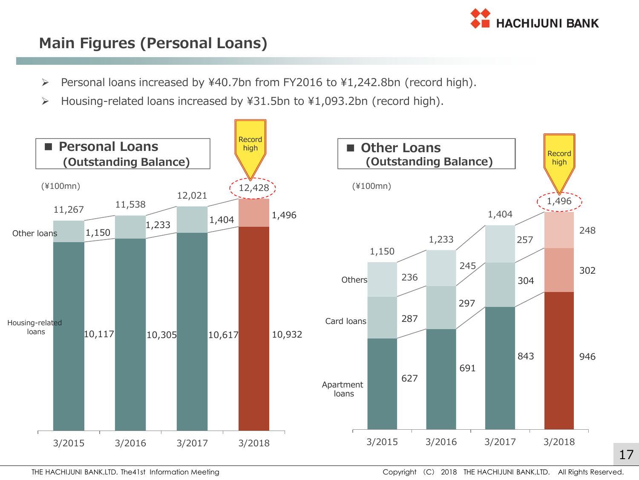

#### **Main Figures (Personal Loans)**

- Personal loans increased by ¥40.7bn from FY2016 to ¥1,242.8bn (record high).
- Housing-related loans increased by ¥31.5bn to ¥1,093.2bn (record high).

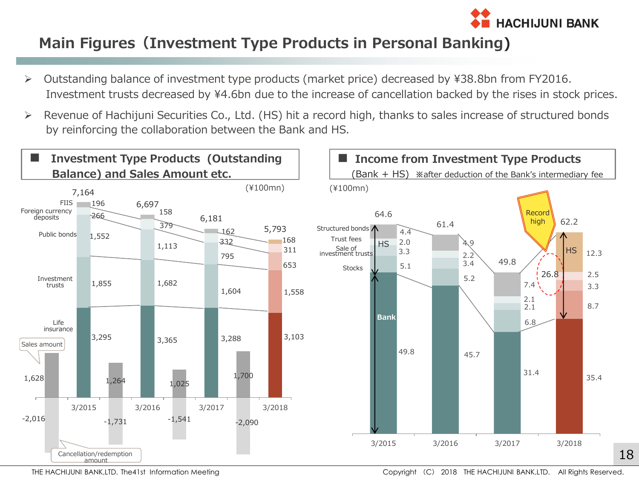

#### **Main Figures(Investment Type Products in Personal Banking)**

- Outstanding balance of investment type products (market price) decreased by ¥38.8bn from FY2016. Investment trusts decreased by ¥4.6bn due to the increase of cancellation backed by the rises in stock prices.
- Revenue of Hachijuni Securities Co., Ltd. (HS) hit a record high, thanks to sales increase of structured bonds by reinforcing the collaboration between the Bank and HS.